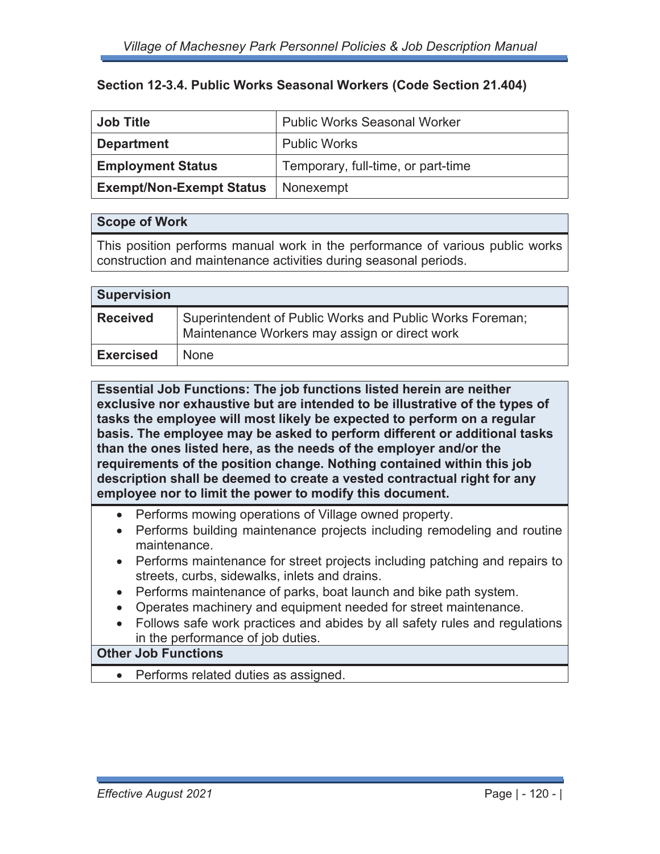## **Section 12-3.4. Public Works Seasonal Workers (Code Section 21.404)**

| <b>Job Title</b>                | <b>Public Works Seasonal Worker</b> |
|---------------------------------|-------------------------------------|
| <b>Department</b>               | <b>Public Works</b>                 |
| <b>Employment Status</b>        | Temporary, full-time, or part-time  |
| <b>Exempt/Non-Exempt Status</b> | Nonexempt                           |

## **Scope of Work**

This position performs manual work in the performance of various public works construction and maintenance activities during seasonal periods.

| <b>Supervision</b> |                                                                                                           |
|--------------------|-----------------------------------------------------------------------------------------------------------|
| <b>Received</b>    | Superintendent of Public Works and Public Works Foreman;<br>Maintenance Workers may assign or direct work |
| <b>Exercised</b>   | <b>None</b>                                                                                               |

**Essential Job Functions: The job functions listed herein are neither exclusive nor exhaustive but are intended to be illustrative of the types of tasks the employee will most likely be expected to perform on a regular basis. The employee may be asked to perform different or additional tasks than the ones listed here, as the needs of the employer and/or the requirements of the position change. Nothing contained within this job description shall be deemed to create a vested contractual right for any employee nor to limit the power to modify this document.** 

- Performs mowing operations of Village owned property.
- Performs building maintenance projects including remodeling and routine maintenance.
- Performs maintenance for street projects including patching and repairs to streets, curbs, sidewalks, inlets and drains.
- Performs maintenance of parks, boat launch and bike path system.
- Operates machinery and equipment needed for street maintenance.
- Follows safe work practices and abides by all safety rules and regulations in the performance of job duties.

## **Other Job Functions**

• Performs related duties as assigned.